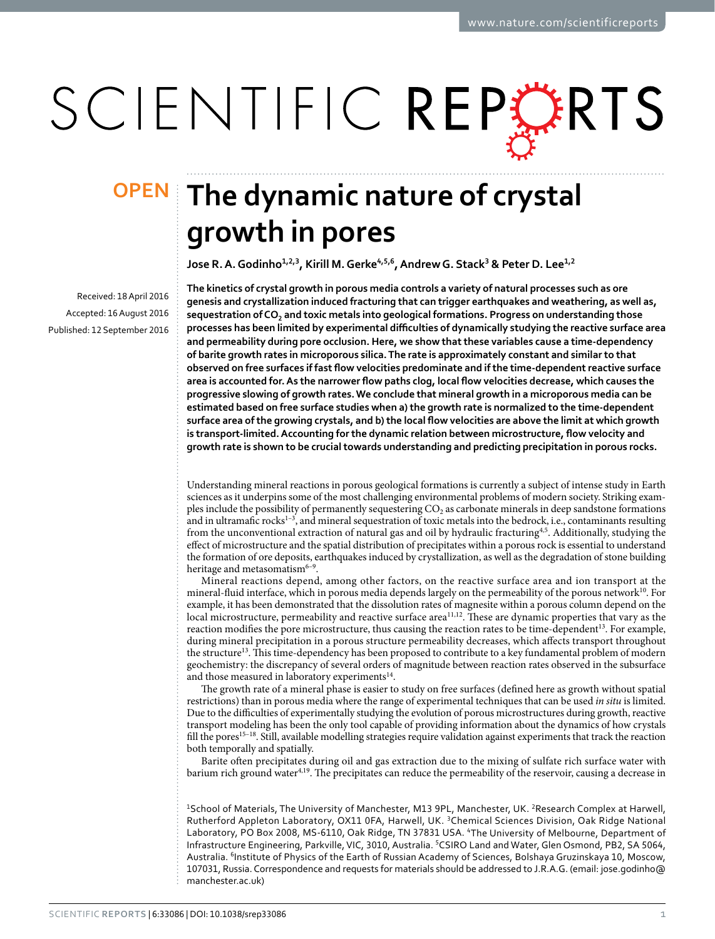# SCIENTIFIC REPERTS

Received: 18 April 2016 accepted: 16 August 2016 Published: 12 September 2016

## **OPEN** The dynamic nature of crystal **growth in pores**

Jose R. A. Godinho<sup>1,2,3</sup>, Kirill M. Gerke<sup>4,5,6</sup>, Andrew G. Stack<sup>3</sup> & Peter D. Lee<sup>1,2</sup>

**The kinetics of crystal growth in porous media controls a variety of natural processes such as ore genesis and crystallization induced fracturing that can trigger earthquakes and weathering, as well as, sequestration of CO2 and toxic metals into geological formations. Progress on understanding those processes has been limited by experimental difficulties of dynamically studying the reactive surface area and permeability during pore occlusion. Here, we show that these variables cause a time-dependency of barite growth rates in microporous silica. The rate is approximately constant and similar to that observed on free surfaces if fast flow velocities predominate and if the time-dependent reactive surface area is accounted for. As the narrower flow paths clog, local flow velocities decrease, which causes the progressive slowing of growth rates. We conclude that mineral growth in a microporous media can be estimated based on free surface studies when a) the growth rate is normalized to the time-dependent surface area of the growing crystals, and b) the local flow velocities are above the limit at which growth is transport-limited. Accounting for the dynamic relation between microstructure, flow velocity and growth rate is shown to be crucial towards understanding and predicting precipitation in porous rocks.**

Understanding mineral reactions in porous geological formations is currently a subject of intense study in Earth sciences as it underpins some of the most challenging environmental problems of modern society. Striking examples include the possibility of permanently sequestering  $CO<sub>2</sub>$  as carbonate minerals in deep sandstone formations and in ultramafic rocks $1-3$ , and mineral sequestration of toxic metals into the bedrock, i.e., contaminants resulting from the unconventional extraction of natural gas and oil by hydraulic fracturing<sup>4,[5](#page-5-2)</sup>. Additionally, studying the effect of microstructure and the spatial distribution of precipitates within a porous rock is essential to understand the formation of ore deposits, earthquakes induced by crystallization, as well as the degradation of stone building heritage and metasomatism<sup>6-9</sup>.

Mineral reactions depend, among other factors, on the reactive surface area and ion transport at the mineral-fluid interface, which in porous media depends largely on the permeability of the porous network $^{10}$  $^{10}$  $^{10}$ . For example, it has been demonstrated that the dissolution rates of magnesite within a porous column depend on the local microstructure, permeability and reactive surface area<sup>[11](#page-5-5),[12](#page-5-6)</sup>. These are dynamic properties that vary as the reaction modifies the pore microstructure, thus causing the reaction rates to be time-dependent[13](#page-5-7). For example, during mineral precipitation in a porous structure permeability decreases, which affects transport throughout the structur[e13.](#page-5-7) This time-dependency has been proposed to contribute to a key fundamental problem of modern geochemistry: the discrepancy of several orders of magnitude between reaction rates observed in the subsurface and those measured in laboratory experiments<sup>[14](#page-5-8)</sup>.

The growth rate of a mineral phase is easier to study on free surfaces (defined here as growth without spatial restrictions) than in porous media where the range of experimental techniques that can be used *in situ* is limited. Due to the difficulties of experimentally studying the evolution of porous microstructures during growth, reactive transport modeling has been the only tool capable of providing information about the dynamics of how crystals fill the pores<sup>15–18</sup>. Still, available modelling strategies require validation against experiments that track the reaction both temporally and spatially.

Barite often precipitates during oil and gas extraction due to the mixing of sulfate rich surface water with barium rich ground wate[r4](#page-5-1)[,19](#page-5-10). The precipitates can reduce the permeability of the reservoir, causing a decrease in

<sup>1</sup>School of Materials, The University of Manchester, M13 9PL, Manchester, UK. <sup>2</sup>Research Complex at Harwell, Rutherford Appleton Laboratory, OX11 0FA, Harwell, UK. 3Chemical Sciences Division, Oak Ridge National Laboratory, PO Box 2008, MS-6110, Oak Ridge, TN 37831 USA. <sup>4</sup>The University of Melbourne, Department of Infrastructure Engineering, Parkville, VIC, 3010, Australia. <sup>5</sup>CSIRO Land and Water, Glen Osmond, PB2, SA 5064, Australia. 6Institute of Physics of the Earth of Russian Academy of Sciences, Bolshaya Gruzinskaya 10, Moscow, 107031, Russia. Correspondence and requests for materials should be addressed to J.R.A.G. (email: [jose.godinho@](mailto:jose.godinho@manchester.ac.uk) [manchester.ac.uk\)](mailto:jose.godinho@manchester.ac.uk)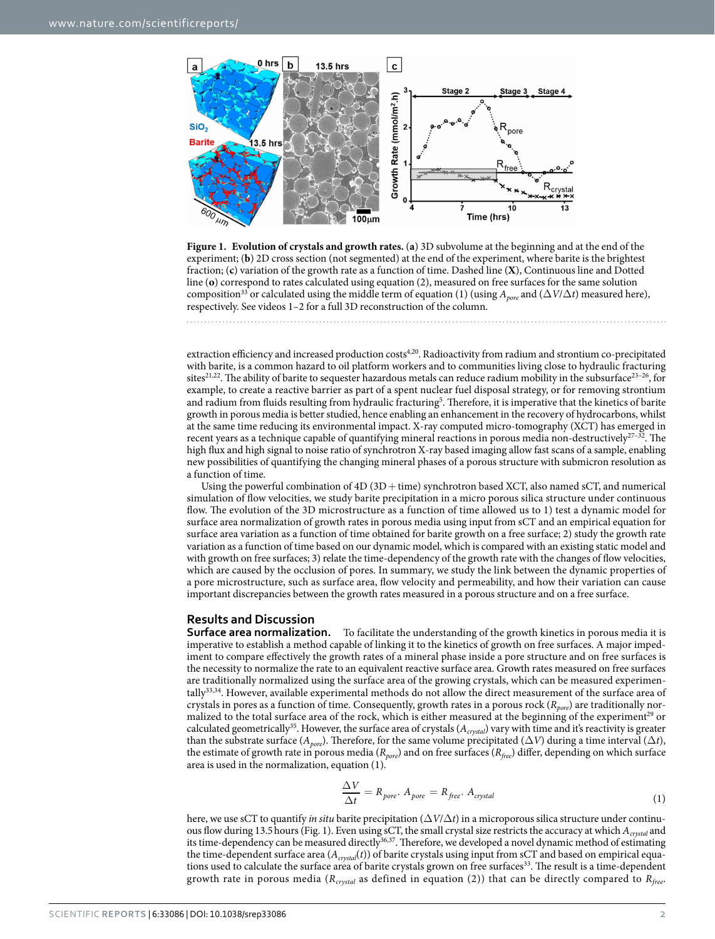

<span id="page-1-0"></span>**Figure 1. Evolution of crystals and growth rates.** (**a**) 3D subvolume at the beginning and at the end of the experiment; (**b**) 2D cross section (not segmented) at the end of the experiment, where barite is the brightest fraction; (**c**) variation of the growth rate as a function of time. Dashed line (**X**), Continuous line and Dotted line (**o**) correspond to rates calculated using equation (2), measured on free surfaces for the same solution composition<sup>[33](#page-5-16)</sup> or calculated using the middle term of equation (1) (using  $A_{pore}$  and ( $\Delta V/\Delta t$ ) measured here), respectively. See videos 1–2 for a full 3D reconstruction of the column.

extraction efficiency and increased production costs<sup>[4,](#page-5-1)20</sup>. Radioactivity from radium and strontium co-precipitated with barite, is a common hazard to oil platform workers and to communities living close to hydraulic fracturing sites<sup>21,22</sup>. The ability of barite to sequester hazardous metals can reduce radium mobility in the subsurface<sup>23–26</sup>, for example, to create a reactive barrier as part of a spent nuclear fuel disposal strategy, or for removing strontium and radium from fluids resulting from hydraulic fracturing<sup>[5](#page-5-2)</sup>. Therefore, it is imperative that the kinetics of barite growth in porous media is better studied, hence enabling an enhancement in the recovery of hydrocarbons, whilst at the same time reducing its environmental impact. X-ray computed micro-tomography (XCT) has emerged in recent years as a technique capable of quantifying mineral reactions in porous media non-destructively<sup>27-32</sup>. The high flux and high signal to noise ratio of synchrotron X-ray based imaging allow fast scans of a sample, enabling new possibilities of quantifying the changing mineral phases of a porous structure with submicron resolution as a function of time.

Using the powerful combination of 4D (3D+time) synchrotron based XCT, also named sCT, and numerical simulation of flow velocities, we study barite precipitation in a micro porous silica structure under continuous flow. The evolution of the 3D microstructure as a function of time allowed us to 1) test a dynamic model for surface area normalization of growth rates in porous media using input from sCT and an empirical equation for surface area variation as a function of time obtained for barite growth on a free surface; 2) study the growth rate variation as a function of time based on our dynamic model, which is compared with an existing static model and with growth on free surfaces; 3) relate the time-dependency of the growth rate with the changes of flow velocities, which are caused by the occlusion of pores. In summary, we study the link between the dynamic properties of a pore microstructure, such as surface area, flow velocity and permeability, and how their variation can cause important discrepancies between the growth rates measured in a porous structure and on a free surface.

#### **Results and Discussion**

**Surface area normalization.** To facilitate the understanding of the growth kinetics in porous media it is imperative to establish a method capable of linking it to the kinetics of growth on free surfaces. A major impediment to compare effectively the growth rates of a mineral phase inside a pore structure and on free surfaces is the necessity to normalize the rate to an equivalent reactive surface area. Growth rates measured on free surfaces are traditionally normalized using the surface area of the growing crystals, which can be measured experimentall[y33](#page-5-16),[34](#page-5-17). However, available experimental methods do not allow the direct measurement of the surface area of crystals in pores as a function of time. Consequently, growth rates in a porous rock (*Rpore*) are traditionally normalized to the total surface area of the rock, which is either measured at the beginning of the experiment<sup>29</sup> or calculated geometrically[35](#page-5-19). However, the surface area of crystals (*Acrystal*) vary with time and it's reactivity is greater than the substrate surface ( $A_{pore}$ ). Therefore, for the same volume precipitated ( $\Delta V$ ) during a time interval ( $\Delta t$ ), the estimate of growth rate in porous media (*Rpore*) and on free surfaces (*Rfree*) differ, depending on which surface area is used in the normalization, equation (1).

$$
\frac{\Delta V}{\Delta t} = R_{pore} \cdot A_{pore} = R_{free} \cdot A_{crystal} \tag{1}
$$

here, we use sCT to quantify *in situ* barite precipitation (Δ*V*/Δ*t*) in a microporous silica structure under continuous flow during 13.5hours [\(Fig. 1\)](#page-1-0). Even using sCT, the small crystal size restricts the accuracy at which *Acrystal* and its time-dependency can be measured directly<sup>[36](#page-5-20),[37](#page-5-21)</sup>. Therefore, we developed a novel dynamic method of estimating the time-dependent surface area ( $A_{crystal}(t)$ ) of barite crystals using input from sCT and based on empirical equations used to calculate the surface area of barite crystals grown on free surfaces<sup>33</sup>. The result is a time-dependent growth rate in porous media (*Rcrystal* as defined in equation (2)) that can be directly compared to *Rfree*.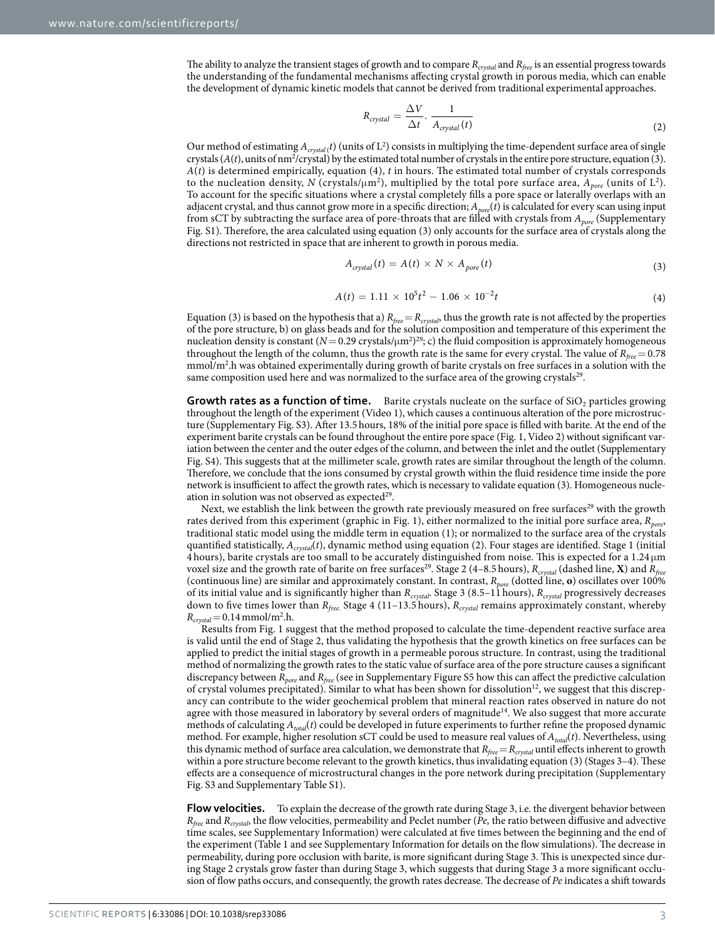The ability to analyze the transient stages of growth and to compare *Rcrystal* and *Rfree* is an essential progress towards the understanding of the fundamental mechanisms affecting crystal growth in porous media, which can enable the development of dynamic kinetic models that cannot be derived from traditional experimental approaches.

$$
R_{crystal} = \frac{\Delta V}{\Delta t} \cdot \frac{1}{A_{crystal}(t)}\tag{2}
$$

Our method of estimating  $A_{crystal}$  (*t*) (units of  $L^2$ ) consists in multiplying the time-dependent surface area of single crystals  $(A(t))$ , units of nm<sup>2</sup>/crystal) by the estimated total number of crystals in the entire pore structure, equation (3). *A*(*t*) is determined empirically, equation (4), *t* in hours. The estimated total number of crystals corresponds to the nucleation density,  $N$  (crystals/ $\mu$ m<sup>2</sup>), multiplied by the total pore surface area,  $A_{pore}$  (units of L<sup>2</sup>). To account for the specific situations where a crystal completely fills a pore space or laterally overlaps with an adjacent crystal, and thus cannot grow more in a specific direction; *Apore*(*t*) is calculated for every scan using input from sCT by subtracting the surface area of pore-throats that are filled with crystals from *Apore* (Supplementary Fig. S1). Therefore, the area calculated using equation (3) only accounts for the surface area of crystals along the directions not restricted in space that are inherent to growth in porous media.

$$
A_{crystal}(t) = A(t) \times N \times A_{pore}(t)
$$
\n(3)

$$
A(t) = 1.11 \times 10^5 t^2 - 1.06 \times 10^{-2} t \tag{4}
$$

Equation (3) is based on the hypothesis that a)  $R_{free} = R_{crystal}$ , thus the growth rate is not affected by the properties of the pore structure, b) on glass beads and for the solution composition and temperature of this experiment the nucleation density is constant  $(N=0.29 \text{ crystals}/\mu\text{m}^2)^{29}$  $(N=0.29 \text{ crystals}/\mu\text{m}^2)^{29}$  $(N=0.29 \text{ crystals}/\mu\text{m}^2)^{29}$ ; c) the fluid composition is approximately homogeneous throughout the length of the column, thus the growth rate is the same for every crystal. The value of  $R_{free} = 0.78$ mmol/m<sup>2</sup>.h was obtained experimentally during growth of barite crystals on free surfaces in a solution with the same composition used here and was normalized to the surface area of the growing crystals<sup>29</sup>.

**Growth rates as a function of time.** Barite crystals nucleate on the surface of SiO<sub>2</sub> particles growing throughout the length of the experiment (Video 1), which causes a continuous alteration of the pore microstructure (Supplementary Fig. S3). After 13.5hours, 18% of the initial pore space is filled with barite. At the end of the experiment barite crystals can be found throughout the entire pore space ([Fig. 1](#page-1-0), Video 2) without significant variation between the center and the outer edges of the column, and between the inlet and the outlet (Supplementary Fig. S4). This suggests that at the millimeter scale, growth rates are similar throughout the length of the column. Therefore, we conclude that the ions consumed by crystal growth within the fluid residence time inside the pore network is insufficient to affect the growth rates, which is necessary to validate equation (3). Homogeneous nucleation in solution was not observed as expected $29$ .

Next, we establish the link between the growth rate previously measured on free surfaces<sup>29</sup> with the growth rates derived from this experiment (graphic in [Fig. 1\)](#page-1-0), either normalized to the initial pore surface area,  $R_{pore}$ , traditional static model using the middle term in equation (1); or normalized to the surface area of the crystals quantified statistically, *Acrystal*(*t*), dynamic method using equation (2). Four stages are identified. Stage 1 (initial 4 hours), barite crystals are too small to be accurately distinguished from noise. This is expected for a 1.24 μm voxel size and the growth rate of barite on free surfaces<sup>[29](#page-5-18)</sup>. Stage 2 (4–8.5 hours),  $R_{crystal}$  (dashed line, **X**) and  $R_{free}$ (continuous line) are similar and approximately constant. In contrast, *Rpore* (dotted line, **o**) oscillates over 100% of its initial value and is significantly higher than *Rcrystal*. Stage 3 (8.5–11 hours), *Rcrystal* progressively decreases down to five times lower than *Rfree.* Stage 4 (11–13.5 hours), *Rcrystal* remains approximately constant, whereby  $R_{crystal} = 0.14 \,\mathrm{mmol/m^2.h.}$ 

Results from [Fig. 1](#page-1-0) suggest that the method proposed to calculate the time-dependent reactive surface area is valid until the end of Stage 2, thus validating the hypothesis that the growth kinetics on free surfaces can be applied to predict the initial stages of growth in a permeable porous structure. In contrast, using the traditional method of normalizing the growth rates to the static value of surface area of the pore structure causes a significant discrepancy between *Rpore* and *Rfree* (see in Supplementary Figure S5 how this can affect the predictive calculation of crystal volumes precipitated). Similar to what has been shown for dissolution<sup>12</sup>, we suggest that this discrepancy can contribute to the wider geochemical problem that mineral reaction rates observed in nature do not agree with those measured in laboratory by several orders of magnitude<sup>14</sup>. We also suggest that more accurate methods of calculating *Atotal*(*t*) could be developed in future experiments to further refine the proposed dynamic method. For example, higher resolution sCT could be used to measure real values of *Atotal*(*t*). Nevertheless, using this dynamic method of surface area calculation, we demonstrate that  $R_{free} = R_{crystal}$  until effects inherent to growth within a pore structure become relevant to the growth kinetics, thus invalidating equation (3) (Stages 3–4). These effects are a consequence of microstructural changes in the pore network during precipitation (Supplementary Fig. S3 and Supplementary Table S1).

**Flow velocities.** To explain the decrease of the growth rate during Stage 3, i.e. the divergent behavior between  $R_{free}$  and  $R_{crystal}$ , the flow velocities, permeability and Peclet number ( $\overline{Pe}$ , the ratio between diffusive and advective time scales, see Supplementary Information) were calculated at five times between the beginning and the end of the experiment ([Table 1](#page-3-0) and see Supplementary Information for details on the flow simulations). The decrease in permeability, during pore occlusion with barite, is more significant during Stage 3. This is unexpected since during Stage 2 crystals grow faster than during Stage 3, which suggests that during Stage 3 a more significant occlusion of flow paths occurs, and consequently, the growth rates decrease. The decrease of *Pe* indicates a shift towards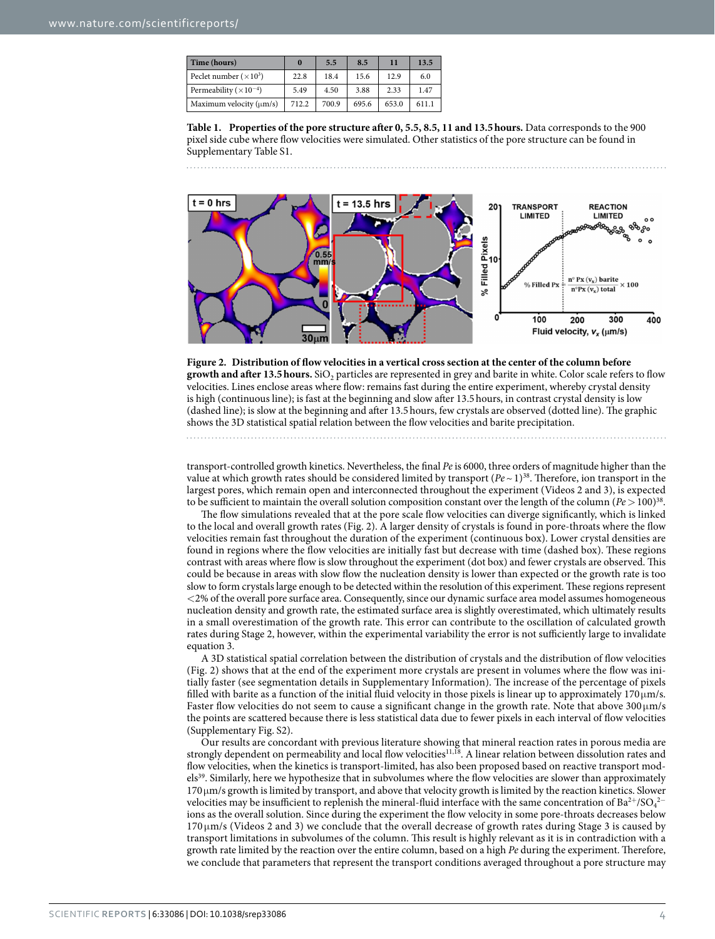<span id="page-3-0"></span>

| Time (hours)                      | $\bf{0}$ | 5.5   | 8.5   | 11    | 13.5  |
|-----------------------------------|----------|-------|-------|-------|-------|
| Peclet number $(\times 10^3)$     | 22.8     | 18.4  | 15.6  | 12.9  | 6.0   |
| Permeability ( $\times 10^{-4}$ ) | 5.49     | 4.50  | 3.88  | 2.33  | 1.47  |
| Maximum velocity $(\mu m/s)$      | 712.2    | 700.9 | 695.6 | 653.0 | 611.1 |

**Table 1. Properties of the pore structure after 0, 5.5, 8.5, 11 and 13.5hours.** Data corresponds to the 900 pixel side cube where flow velocities were simulated. Other statistics of the pore structure can be found in Supplementary Table S1.





<span id="page-3-1"></span>

transport-controlled growth kinetics. Nevertheless, the final *Pe* is 6000, three orders of magnitude higher than the value at which growth rates should be considered limited by transport  $(Pe~1)^{38}$  $(Pe~1)^{38}$  $(Pe~1)^{38}$ . Therefore, ion transport in the largest pores, which remain open and interconnected throughout the experiment (Videos 2 and 3), is expected to be sufficient to maintain the overall solution composition constant over the length of the column ( $Pe > 100$ )<sup>[38](#page-5-22)</sup>.

The flow simulations revealed that at the pore scale flow velocities can diverge significantly, which is linked to the local and overall growth rates [\(Fig. 2](#page-3-1)). A larger density of crystals is found in pore-throats where the flow velocities remain fast throughout the duration of the experiment (continuous box). Lower crystal densities are found in regions where the flow velocities are initially fast but decrease with time (dashed box). These regions contrast with areas where flow is slow throughout the experiment (dot box) and fewer crystals are observed. This could be because in areas with slow flow the nucleation density is lower than expected or the growth rate is too slow to form crystals large enough to be detected within the resolution of this experiment. These regions represent <2% of the overall pore surface area. Consequently, since our dynamic surface area model assumes homogeneous nucleation density and growth rate, the estimated surface area is slightly overestimated, which ultimately results in a small overestimation of the growth rate. This error can contribute to the oscillation of calculated growth rates during Stage 2, however, within the experimental variability the error is not sufficiently large to invalidate equation 3.

A 3D statistical spatial correlation between the distribution of crystals and the distribution of flow velocities ([Fig. 2](#page-3-1)) shows that at the end of the experiment more crystals are present in volumes where the flow was initially faster (see segmentation details in Supplementary Information). The increase of the percentage of pixels filled with barite as a function of the initial fluid velocity in those pixels is linear up to approximately  $170 \mu m/s$ . Faster flow velocities do not seem to cause a significant change in the growth rate. Note that above  $300 \mu m/s$ the points are scattered because there is less statistical data due to fewer pixels in each interval of flow velocities (Supplementary Fig. S2).

Our results are concordant with previous literature showing that mineral reaction rates in porous media are strongly dependent on permeability and local flow velocities<sup>11,18</sup>. A linear relation between dissolution rates and flow velocities, when the kinetics is transport-limited, has also been proposed based on reactive transport models<sup>39</sup>. Similarly, here we hypothesize that in subvolumes where the flow velocities are slower than approximately 170μm/s growth is limited by transport, and above that velocity growth is limited by the reaction kinetics. Slower velocities may be insufficient to replenish the mineral-fluid interface with the same concentration of Ba<sup>2+</sup>/SO<sub>4</sub><sup>2−</sup> ions as the overall solution. Since during the experiment the flow velocity in some pore-throats decreases below 170 μm/s (Videos 2 and 3) we conclude that the overall decrease of growth rates during Stage 3 is caused by transport limitations in subvolumes of the column. This result is highly relevant as it is in contradiction with a growth rate limited by the reaction over the entire column, based on a high *Pe* during the experiment. Therefore, we conclude that parameters that represent the transport conditions averaged throughout a pore structure may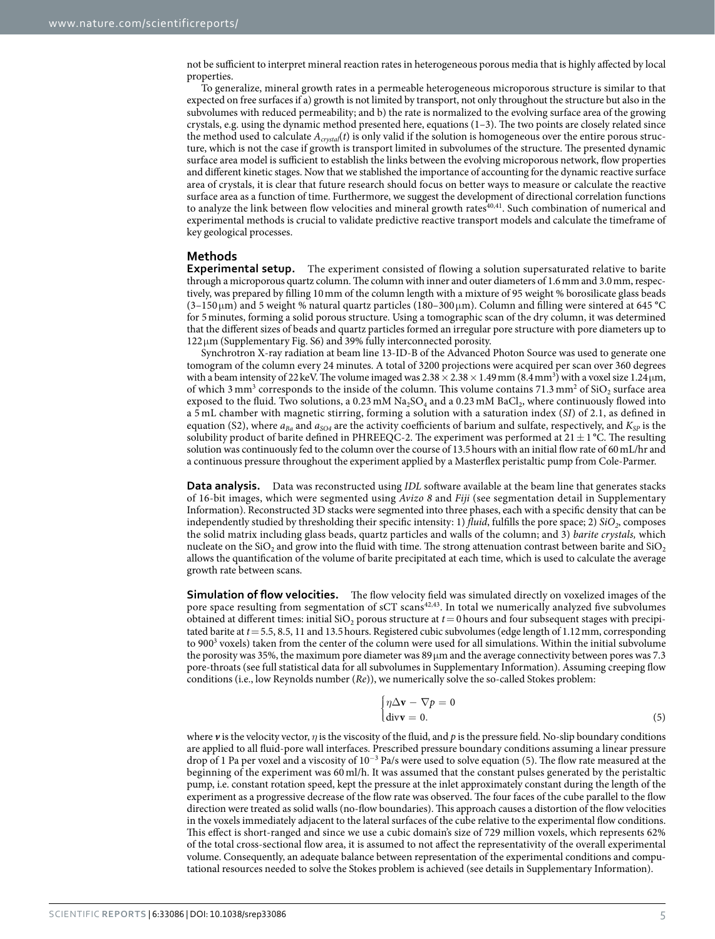not be sufficient to interpret mineral reaction rates in heterogeneous porous media that is highly affected by local properties.

To generalize, mineral growth rates in a permeable heterogeneous microporous structure is similar to that expected on free surfaces if a) growth is not limited by transport, not only throughout the structure but also in the subvolumes with reduced permeability; and b) the rate is normalized to the evolving surface area of the growing crystals, e.g. using the dynamic method presented here, equations  $(1-3)$ . The two points are closely related since the method used to calculate  $A_{crystal}(t)$  is only valid if the solution is homogeneous over the entire porous structure, which is not the case if growth is transport limited in subvolumes of the structure. The presented dynamic surface area model is sufficient to establish the links between the evolving microporous network, flow properties and different kinetic stages. Now that we stablished the importance of accounting for the dynamic reactive surface area of crystals, it is clear that future research should focus on better ways to measure or calculate the reactive surface area as a function of time. Furthermore, we suggest the development of directional correlation functions to analyze the link between flow velocities and mineral growth rates<sup>40,[41](#page-5-26)</sup>. Such combination of numerical and experimental methods is crucial to validate predictive reactive transport models and calculate the timeframe of key geological processes.

#### **Methods**

**Experimental setup.** The experiment consisted of flowing a solution supersaturated relative to barite through a microporous quartz column. The column with inner and outer diameters of 1.6mm and 3.0mm, respectively, was prepared by filling 10mm of the column length with a mixture of 95 weight % borosilicate glass beads (3–150 μm) and 5 weight % natural quartz particles (180–300 μm). Column and filling were sintered at 645 **°**C for 5minutes, forming a solid porous structure. Using a tomographic scan of the dry column, it was determined that the different sizes of beads and quartz particles formed an irregular pore structure with pore diameters up to 122μm (Supplementary Fig. S6) and 39% fully interconnected porosity.

Synchrotron X-ray radiation at beam line 13-ID-B of the Advanced Photon Source was used to generate one tomogram of the column every 24 minutes. A total of 3200 projections were acquired per scan over 360 degrees with a beam intensity of 22 keV. The volume imaged was  $2.38 \times 2.38 \times 1.49$  mm  $(8.4$  mm<sup>3</sup>) with a voxel size  $1.24$  µm, of which  $3 \text{ mm}^3$  corresponds to the inside of the column. This volume contains  $71.3 \text{ mm}^2$  of  $\text{SiO}_2$  surface area exposed to the fluid. Two solutions, a  $0.23 \text{ mM Na}_2\text{SO}_4$  and a  $0.23 \text{ mM BaCl}_2$ , where continuously flowed into a 5 mL chamber with magnetic stirring, forming a solution with a saturation index (*SI*) of 2.1, as defined in equation (S2), where  $a_{Ba}$  and  $a_{SO4}$  are the activity coefficients of barium and sulfate, respectively, and  $K_{SP}$  is the solubility product of barite defined in PHREEQC-2. The experiment was performed at  $21 \pm 1$  °C. The resulting solution was continuously fed to the column over the course of 13.5hours with an initial flow rate of 60mL/hr and a continuous pressure throughout the experiment applied by a Masterflex peristaltic pump from Cole-Parmer.

**Data analysis.** Data was reconstructed using *IDL* software available at the beam line that generates stacks of 16-bit images, which were segmented using *Avizo 8* and *Fiji* (see segmentation detail in Supplementary Information). Reconstructed 3D stacks were segmented into three phases, each with a specific density that can be independently studied by thresholding their specific intensity: 1) *fluid*, fulfills the pore space; 2)  $SiO<sub>2</sub>$ , composes the solid matrix including glass beads, quartz particles and walls of the column; and 3) *barite crystals,* which nucleate on the  $SiO<sub>2</sub>$  and grow into the fluid with time. The strong attenuation contrast between barite and  $SiO<sub>2</sub>$ allows the quantification of the volume of barite precipitated at each time, which is used to calculate the average growth rate between scans.

**Simulation of flow velocities.** The flow velocity field was simulated directly on voxelized images of the pore space resulting from segmentation of sCT scans<sup>[42](#page-6-0),43</sup>. In total we numerically analyzed five subvolumes obtained at different times: initial  $SiO<sub>2</sub>$  porous structure at  $t = 0$  hours and four subsequent stages with precipitated barite at *t*= 5.5, 8.5, 11 and 13.5hours. Registered cubic subvolumes (edge length of 1.12mm, corresponding to 900<sup>3</sup> voxels) taken from the center of the column were used for all simulations. Within the initial subvolume the porosity was 35%, the maximum pore diameter was  $89 \mu m$  and the average connectivity between pores was 7.3 pore-throats (see full statistical data for all subvolumes in Supplementary Information). Assuming creeping flow conditions (i.e., low Reynolds number (*Re*)), we numerically solve the so-called Stokes problem:

$$
\begin{cases}\n\eta \Delta \mathbf{v} - \nabla p = 0 \\
\text{div}\mathbf{v} = 0.\n\end{cases} (5)
$$

where *v* is the velocity vector, *η* is the viscosity of the fluid, and *p* is the pressure field. No-slip boundary conditions are applied to all fluid-pore wall interfaces. Prescribed pressure boundary conditions assuming a linear pressure drop of 1 Pa per voxel and a viscosity of 10<sup>-3</sup> Pa/s were used to solve equation (5). The flow rate measured at the beginning of the experiment was 60 ml/h. It was assumed that the constant pulses generated by the peristaltic pump, i.e. constant rotation speed, kept the pressure at the inlet approximately constant during the length of the experiment as a progressive decrease of the flow rate was observed. The four faces of the cube parallel to the flow direction were treated as solid walls (no-flow boundaries). This approach causes a distortion of the flow velocities in the voxels immediately adjacent to the lateral surfaces of the cube relative to the experimental flow conditions. This effect is short-ranged and since we use a cubic domain's size of 729 million voxels, which represents 62% of the total cross-sectional flow area, it is assumed to not affect the representativity of the overall experimental volume. Consequently, an adequate balance between representation of the experimental conditions and computational resources needed to solve the Stokes problem is achieved (see details in Supplementary Information).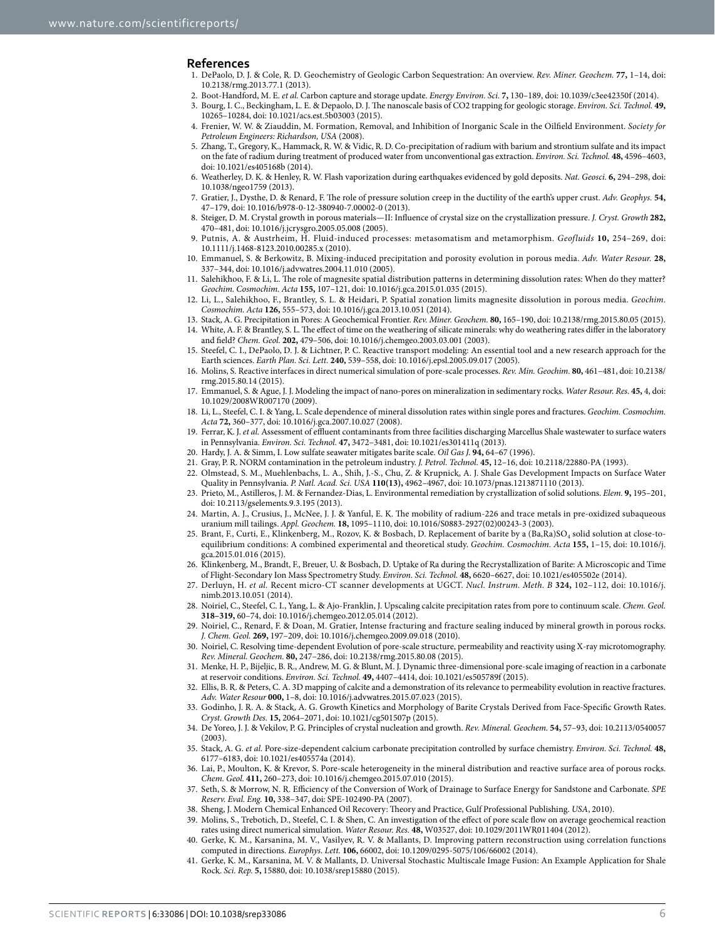#### **References**

- <span id="page-5-0"></span>1. DePaolo, D. J. & Cole, R. D. Geochemistry of Geologic Carbon Sequestration: An overview. *Rev. Miner. Geochem.* **77,** 1–14, doi: 10.2138/rmg.2013.77.1 (2013).
- 2. Boot-Handford, M. E. *et al.* Carbon capture and storage update. *Energy Environ. Sci.* **7,** 130–189, doi: 10.1039/c3ee42350f (2014).
- 3. Bourg, I. C., Beckingham, L. E. & Depaolo, D. J. The nanoscale basis of CO2 trapping for geologic storage. *Environ. Sci. Technol.* **49,** 10265–10284, doi: 10.1021/acs.est.5b03003 (2015).
- <span id="page-5-1"></span>4. Frenier, W. W. & Ziauddin, M. Formation, Removal, and Inhibition of Inorganic Scale in the Oilfield Environment. *Society for Petroleum Engineers: Richardson, USA* (2008).
- <span id="page-5-2"></span>5. Zhang, T., Gregory, K., Hammack, R. W. & Vidic, R. D. Co-precipitation of radium with barium and strontium sulfate and its impact on the fate of radium during treatment of produced water from unconventional gas extraction. *Environ. Sci. Technol.* **48,** 4596–4603, doi: 10.1021/es405168b (2014).
- <span id="page-5-3"></span>6. Weatherley, D. K. & Henley, R. W. Flash vaporization during earthquakes evidenced by gold deposits. *Nat. Geosci.* **6,** 294–298, doi: 10.1038/ngeo1759 (2013).
- 7. Gratier, J., Dysthe, D. & Renard, F. The role of pressure solution creep in the ductility of the earth's upper crust. *Adv. Geophys.* **54,** 47–179, doi: 10.1016/b978-0-12-380940-7.00002-0 (2013).
- 8. Steiger, D. M. Crystal growth in porous materials—II: Influence of crystal size on the crystallization pressure. *J. Cryst. Growth* **282,** 470–481, doi: 10.1016/j.jcrysgro.2005.05.008 (2005).
- 9. Putnis, A. & Austrheim, H. Fluid-induced processes: metasomatism and metamorphism. *Geofluids* **10,** 254–269, doi: 10.1111/j.1468-8123.2010.00285.x (2010).
- <span id="page-5-4"></span>10. Emmanuel, S. & Berkowitz, B. Mixing-induced precipitation and porosity evolution in porous media. *Adv. Water Resour.* **28,** 337–344, doi: 10.1016/j.advwatres.2004.11.010 (2005).
- <span id="page-5-5"></span>11. Salehikhoo, F. & Li, L. The role of magnesite spatial distribution patterns in determining dissolution rates: When do they matter? *Geochim. Cosmochim. Acta* **155,** 107–121, doi: 10.1016/j.gca.2015.01.035 (2015).
- <span id="page-5-6"></span>12. Li, L., Salehikhoo, F., Brantley, S. L. & Heidari, P. Spatial zonation limits magnesite dissolution in porous media. *Geochim. Cosmochim. Acta* **126,** 555–573, doi: 10.1016/j.gca.2013.10.051 (2014).
- <span id="page-5-7"></span>13. Stack, A. G. Precipitation in Pores: A Geochemical Frontier. *Rev. Miner. Geochem.* **80,** 165–190, doi: 10.2138/rmg.2015.80.05 (2015).
- <span id="page-5-8"></span>14. White, A. F. & Brantley, S. L. The effect of time on the weathering of silicate minerals: why do weathering rates differ in the laboratory and field? *Chem. Geol.* **202,** 479–506, doi: 10.1016/j.chemgeo.2003.03.001 (2003).
- <span id="page-5-9"></span>15. Steefel, C. I., DePaolo, D. J. & Lichtner, P. C. Reactive transport modeling: An essential tool and a new research approach for the Earth sciences. *Earth Plan. Sci. Lett.* **240,** 539–558, doi: 10.1016/j.epsl.2005.09.017 (2005).
- 16. Molins, S. Reactive interfaces in direct numerical simulation of pore-scale processes. *Rev. Min. Geochim.* **80,** 461–481, doi: 10.2138/ rmg.2015.80.14 (2015).
- 17. Emmanuel, S. & Ague, J. J. Modeling the impact of nano-pores on mineralization in sedimentary rocks. *Water Resour. Res.* **45,** 4, doi: 10.1029/2008WR007170 (2009).
- <span id="page-5-23"></span>18. Li, L., Steefel, C. I. & Yang, L. Scale dependence of mineral dissolution rates within single pores and fractures. *Geochim. Cosmochim. Acta* **72,** 360–377, doi: 10.1016/j.gca.2007.10.027 (2008).
- <span id="page-5-10"></span>19. Ferrar, K. J. *et al.* Assessment of effluent contaminants from three facilities discharging Marcellus Shale wastewater to surface waters in Pennsylvania. *Environ. Sci. Technol.* **47,** 3472–3481, doi: 10.1021/es301411q (2013).
- <span id="page-5-11"></span>20. Hardy, J. A. & Simm, I. Low sulfate seawater mitigates barite scale. *Oil Gas J.* **94,** 64–67 (1996).
- <span id="page-5-12"></span>21. Gray, P. R. NORM contamination in the petroleum industry. *J. Petrol. Technol*. **45,** 12–16, doi: 10.2118/22880-PA (1993).
- <span id="page-5-13"></span>22. Olmstead, S. M., Muehlenbachs, L. A., Shih, J.-S., Chu, Z. & Krupnick, A. J. Shale Gas Development Impacts on Surface Water Quality in Pennsylvania. *P. Natl. Acad. Sci. USA* **110(13),** 4962–4967, doi: 10.1073/pnas.1213871110 (2013).
- <span id="page-5-14"></span>23. Prieto, M., Astilleros, J. M. & Fernandez-Dias, L. Environmental remediation by crystallization of solid solutions. *Elem.* **9,** 195–201, doi: 10.2113/gselements.9.3.195 (2013).
- 24. Martin, A. J., Crusius, J., McNee, J. J. & Yanful, E. K. The mobility of radium-226 and trace metals in pre-oxidized subaqueous uranium mill tailings. *Appl. Geochem.* **18,** 1095–1110, doi: 10.1016/S0883-2927(02)00243-3 (2003).
- 25. Brant, F., Curti, E., Klinkenberg, M., Rozov, K. & Bosbach, D. Replacement of barite by a (Ba,Ra)SO<sub>4</sub> solid solution at close-toequilibrium conditions: A combined experimental and theoretical study. *Geochim. Cosmochim. Acta* **155,** 1–15, doi: 10.1016/j. gca.2015.01.016 (2015).
- 26. Klinkenberg, M., Brandt, F., Breuer, U. & Bosbach, D. Uptake of Ra during the Recrystallization of Barite: A Microscopic and Time of Flight-Secondary Ion Mass Spectrometry Study. *Environ. Sci. Technol.* **48,** 6620–6627, doi: 10.1021/es405502e (2014).
- <span id="page-5-15"></span>27. Derluyn, H. *et al.* Recent micro-CT scanner developments at UGCT. *Nucl. Instrum. Meth. B* **324,** 102–112, doi: 10.1016/j. nimb.2013.10.051 (2014).
- 28. Noiriel, C., Steefel, C. I., Yang, L. & Ajo-Franklin, J. Upscaling calcite precipitation rates from pore to continuum scale. *Chem. Geol.* **318–319,** 60–74, doi: 10.1016/j.chemgeo.2012.05.014 (2012).
- <span id="page-5-18"></span>29. Noiriel, C., Renard, F. & Doan, M. Gratier, Intense fracturing and fracture sealing induced by mineral growth in porous rocks. *J. Chem. Geol.* **269,** 197–209, doi: 10.1016/j.chemgeo.2009.09.018 (2010).
- 30. Noiriel, C. Resolving time-dependent Evolution of pore-scale structure, permeability and reactivity using X-ray microtomography. *Rev. Mineral. Geochem.* **80,** 247–286, doi: 10.2138/rmg.2015.80.08 (2015).
- 31. Menke, H. P., Bijeljic, B. R., Andrew, M. G. & Blunt, M. J. Dynamic three-dimensional pore-scale imaging of reaction in a carbonate at reservoir conditions. *Environ. Sci. Technol.* **49,** 4407–4414, doi: 10.1021/es505789f (2015).
- 32. Ellis, B. R. & Peters, C. A. 3D mapping of calcite and a demonstration of its relevance to permeability evolution in reactive fractures. *Adv. Water Resour* **000,** 1–8, doi: 10.1016/j.advwatres.2015.07.023 (2015).
- <span id="page-5-16"></span>33. Godinho, J. R. A. & Stack, A. G. Growth Kinetics and Morphology of Barite Crystals Derived from Face-Specific Growth Rates. *Cryst. Growth Des.* **15,** 2064–2071, doi: 10.1021/cg501507p (2015).
- <span id="page-5-17"></span>34. De Yoreo, J. J. & Vekilov, P. G. Principles of crystal nucleation and growth. *Rev. Mineral. Geochem.* **54,** 57–93, doi: 10.2113/0540057 (2003).
- <span id="page-5-19"></span>35. Stack, A. G. *et al.* Pore-size-dependent calcium carbonate precipitation controlled by surface chemistry. *Environ. Sci. Technol.* **48,** 6177–6183, doi: 10.1021/es405574a (2014).
- <span id="page-5-20"></span>36. Lai, P., Moulton, K. & Krevor, S. Pore-scale heterogeneity in the mineral distribution and reactive surface area of porous rocks. *Chem. Geol.* **411,** 260–273, doi: 10.1016/j.chemgeo.2015.07.010 (2015).
- <span id="page-5-21"></span>37. Seth, S. & Morrow, N. R. Efficiency of the Conversion of Work of Drainage to Surface Energy for Sandstone and Carbonate. *SPE Reserv. Eval. Eng.* **10,** 338–347, doi: SPE-102490-PA (2007).
- <span id="page-5-22"></span>38. Sheng, J. Modern Chemical Enhanced Oil Recovery: Theory and Practice, Gulf Professional Publishing. *USA*, 2010).
- <span id="page-5-24"></span>39. Molins, S., Trebotich, D., Steefel, C. I. & Shen, C. An investigation of the effect of pore scale flow on average geochemical reaction rates using direct numerical simulation. *Water Resour. Res.* **48,** W03527, doi: 10.1029/2011WR011404 (2012).
- <span id="page-5-25"></span>40. Gerke, K. M., Karsanina, M. V., Vasilyev, R. V. & Mallants, D. Improving pattern reconstruction using correlation functions computed in directions. *Europhys. Lett.* **106,** 66002, doi: 10.1209/0295-5075/106/66002 (2014).
- <span id="page-5-26"></span>41. Gerke, K. M., Karsanina, M. V. & Mallants, D. Universal Stochastic Multiscale Image Fusion: An Example Application for Shale Rock. *Sci. Rep.* **5,** 15880, doi: 10.1038/srep15880 (2015).